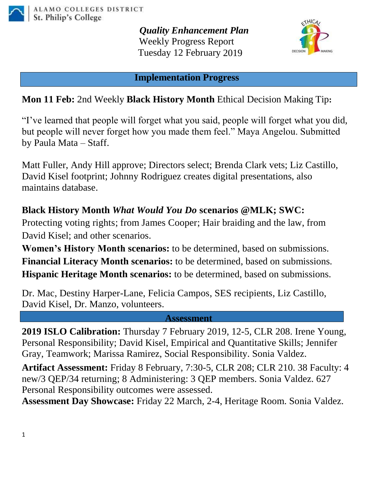

*Quality Enhancement Plan* Weekly Progress Report Tuesday 12 February 2019



**Implementation Progress**

## **Mon 11 Feb:** 2nd Weekly **Black History Month** Ethical Decision Making Tip**:**

"I've learned that people will forget what you said, people will forget what you did, but people will never forget how you made them feel." Maya Angelou. Submitted by Paula Mata – Staff.

Matt Fuller, Andy Hill approve; Directors select; Brenda Clark vets; Liz Castillo, David Kisel footprint; Johnny Rodriguez creates digital presentations, also maintains database.

## **Black History Month** *What Would You Do* **scenarios @MLK; SWC:**

Protecting voting rights; from James Cooper; Hair braiding and the law, from David Kisel; and other scenarios.

**Women's History Month scenarios:** to be determined, based on submissions. **Financial Literacy Month scenarios:** to be determined, based on submissions. **Hispanic Heritage Month scenarios:** to be determined, based on submissions.

Dr. Mac, Destiny Harper-Lane, Felicia Campos, SES recipients, Liz Castillo, David Kisel, Dr. Manzo, volunteers.

**Assessment**

**2019 ISLO Calibration:** Thursday 7 February 2019, 12-5, CLR 208. Irene Young, Personal Responsibility; David Kisel, Empirical and Quantitative Skills; Jennifer Gray, Teamwork; Marissa Ramirez, Social Responsibility. Sonia Valdez.

**Artifact Assessment:** Friday 8 February, 7:30-5, CLR 208; CLR 210. 38 Faculty: 4 new/3 QEP/34 returning; 8 Administering: 3 QEP members. Sonia Valdez. 627 Personal Responsibility outcomes were assessed.

**Assessment Day Showcase:** Friday 22 March, 2-4, Heritage Room. Sonia Valdez.